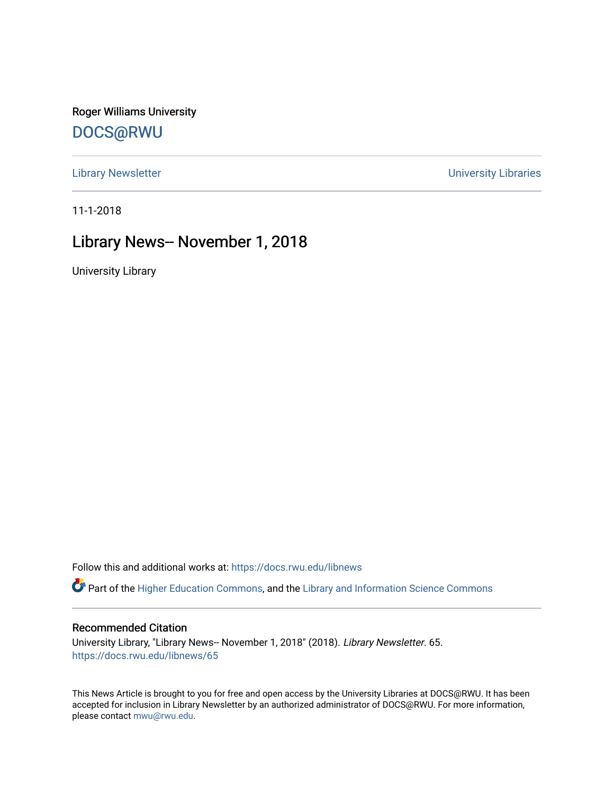Roger Williams University [DOCS@RWU](https://docs.rwu.edu/)

[Library Newsletter](https://docs.rwu.edu/libnews) **Newsletter Newsletter Newsletter Newsletter Newsletter University Libraries** 

11-1-2018

# Library News-- November 1, 2018

University Library

Follow this and additional works at: [https://docs.rwu.edu/libnews](https://docs.rwu.edu/libnews?utm_source=docs.rwu.edu%2Flibnews%2F65&utm_medium=PDF&utm_campaign=PDFCoverPages)

Part of the [Higher Education Commons,](http://network.bepress.com/hgg/discipline/1245?utm_source=docs.rwu.edu%2Flibnews%2F65&utm_medium=PDF&utm_campaign=PDFCoverPages) and the Library and Information Science Commons

#### Recommended Citation

University Library, "Library News-- November 1, 2018" (2018). Library Newsletter. 65. [https://docs.rwu.edu/libnews/65](https://docs.rwu.edu/libnews/65?utm_source=docs.rwu.edu%2Flibnews%2F65&utm_medium=PDF&utm_campaign=PDFCoverPages) 

This News Article is brought to you for free and open access by the University Libraries at DOCS@RWU. It has been accepted for inclusion in Library Newsletter by an authorized administrator of DOCS@RWU. For more information, please contact [mwu@rwu.edu.](mailto:mwu@rwu.edu)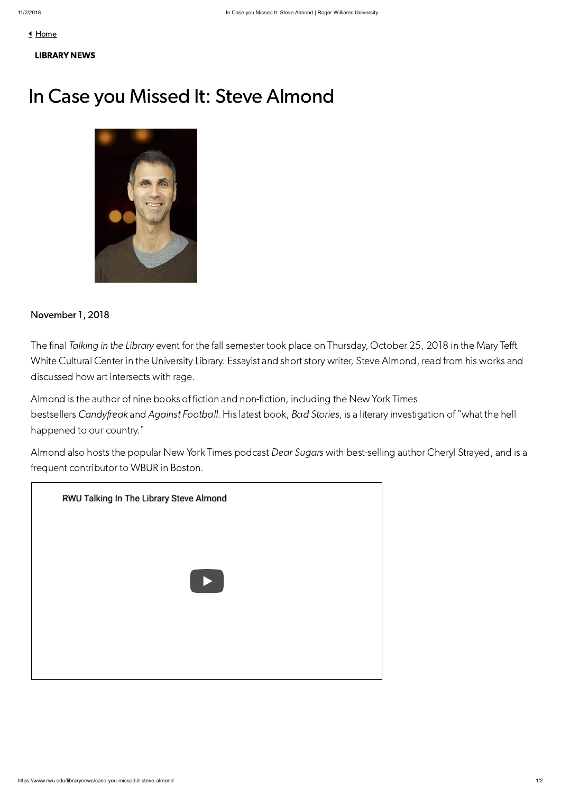<u>I</u> [Home](https://www.rwu.edu/)



### [LIBRARY](https://www.rwu.edu/library/news) NEWS

# In Case you Missed It: Steve Almond



## November 1, 2018

The final Talking in the Library event for the fall semester took place on Thursday, October 25, 2018 in the Mary Tefft White Cultural Center in the University Library. Essayist and short story writer, Steve Almond, read from his works and discussed how art intersects with rage.

Almond is the author of nine books of fiction and non-fiction, including the New York Times bestsellers Candyfreak and Against Football. His latest book, Bad Stories, is a literary investigation of "what the hell happened to our country."

Almond also hosts the popular New York Times podcast Dear Sugars with best-selling author Cheryl Strayed, and is a frequent contributor to WBUR in Boston.